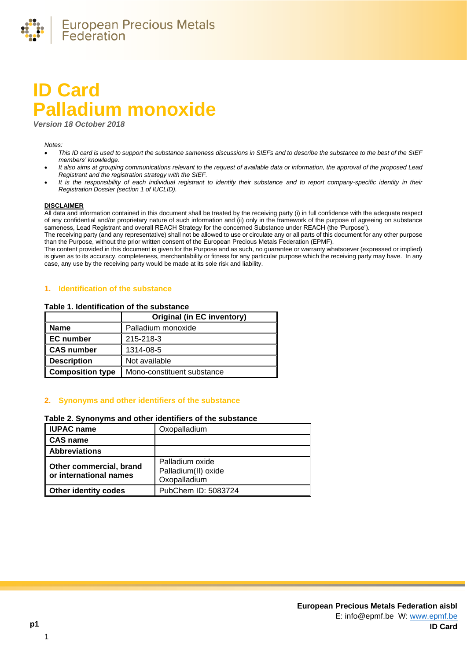

# **ID Card Palladium monoxide**

*Version 18 October 2018*

#### *Notes:*

- *This ID card is used to support the substance sameness discussions in SIEFs and to describe the substance to the best of the SIEF members' knowledge.*
- *It also aims at grouping communications relevant to the request of available data or information, the approval of the proposed Lead Registrant and the registration strategy with the SIEF.*
- *It is the responsibility of each individual registrant to identify their substance and to report company-specific identity in their Registration Dossier (section 1 of IUCLID).*

#### **DISCLAIMER**

All data and information contained in this document shall be treated by the receiving party (i) in full confidence with the adequate respect of any confidential and/or proprietary nature of such information and (ii) only in the framework of the purpose of agreeing on substance sameness, Lead Registrant and overall REACH Strategy for the concerned Substance under REACH (the 'Purpose').

The receiving party (and any representative) shall not be allowed to use or circulate any or all parts of this document for any other purpose than the Purpose, without the prior written consent of the European Precious Metals Federation (EPMF).

The content provided in this document is given for the Purpose and as such, no guarantee or warranty whatsoever (expressed or implied) is given as to its accuracy, completeness, merchantability or fitness for any particular purpose which the receiving party may have. In any case, any use by the receiving party would be made at its sole risk and liability.

#### **1. Identification of the substance**

#### **Table 1. Identification of the substance**

|                         | <b>Original (in EC inventory)</b> |  |
|-------------------------|-----------------------------------|--|
| <b>Name</b>             | Palladium monoxide                |  |
| <b>EC</b> number        | 215-218-3                         |  |
| <b>CAS number</b>       | 1314-08-5                         |  |
| <b>Description</b>      | Not available                     |  |
| <b>Composition type</b> | Mono-constituent substance        |  |

# **2. Synonyms and other identifiers of the substance**

# **Table 2. Synonyms and other identifiers of the substance**

| <b>IUPAC name</b>                                 | Oxopalladium                                           |
|---------------------------------------------------|--------------------------------------------------------|
| <b>CAS name</b>                                   |                                                        |
| <b>Abbreviations</b>                              |                                                        |
| Other commercial, brand<br>or international names | Palladium oxide<br>Palladium(II) oxide<br>Oxopalladium |
| <b>Other identity codes</b>                       | PubChem ID: 5083724                                    |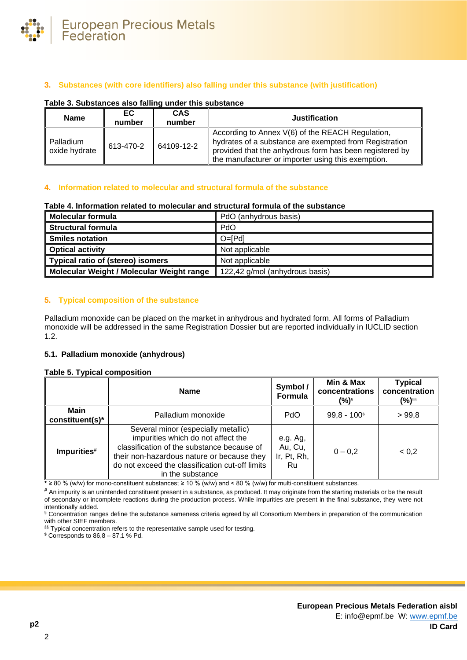

# **3. Substances (with core identifiers) also falling under this substance (with justification)**

## **Table 3. Substances also falling under this substance**

| <b>Name</b>                | EC<br>number | <b>CAS</b><br>number | <b>Justification</b>                                                                                                                                                                                                        |
|----------------------------|--------------|----------------------|-----------------------------------------------------------------------------------------------------------------------------------------------------------------------------------------------------------------------------|
| Palladium<br>oxide hydrate | 613-470-2    | 64109-12-2           | According to Annex V(6) of the REACH Regulation,<br>hydrates of a substance are exempted from Registration<br>provided that the anhydrous form has been registered by<br>the manufacturer or importer using this exemption. |

# **4. Information related to molecular and structural formula of the substance**

#### **Table 4. Information related to molecular and structural formula of the substance**

| <b>Molecular formula</b>                  | PdO (anhydrous basis)          |  |
|-------------------------------------------|--------------------------------|--|
| <b>Structural formula</b>                 | PdO                            |  |
| <b>Smiles notation</b>                    | $O = [Pd]$                     |  |
| <b>Optical activity</b>                   | Not applicable                 |  |
| Typical ratio of (stereo) isomers         | Not applicable                 |  |
| Molecular Weight / Molecular Weight range | 122,42 g/mol (anhydrous basis) |  |

# <span id="page-1-0"></span>**5. Typical composition of the substance**

Palladium monoxide can be placed on the market in anhydrous and hydrated form. All forms of Palladium monoxide will be addressed in the same Registration Dossier but are reported individually in IUCLID section 1.2.

#### **5.1. Palladium monoxide (anhydrous)**

## **Table 5. Typical composition**

|                                | <b>Name</b>                                                                                                                                                                                                                                  | Symbol /<br>Formula | Min & Max<br>concentrations<br>$(%)^{s}$ | <b>Typical</b><br>concentration<br>(%)§§ |
|--------------------------------|----------------------------------------------------------------------------------------------------------------------------------------------------------------------------------------------------------------------------------------------|---------------------|------------------------------------------|------------------------------------------|
| <b>Main</b><br>constituent(s)* | Palladium monoxide                                                                                                                                                                                                                           | <b>PdO</b>          | $99,8 - 100$ <sup>\$</sup>               | >99.8                                    |
| Impurities#                    | Several minor (especially metallic)<br>impurities which do not affect the<br>classification of the substance because of<br>their non-hazardous nature or because they<br>do not exceed the classification cut-off limits<br>in the substance |                     | $0 - 0.2$                                | 0,2                                      |

**\*** ≥ 80 % (w/w) for mono-constituent substances; ≥ 10 % (w/w) and < 80 % (w/w) for multi-constituent substances.

# An impurity is an unintended constituent present in a substance, as produced. It may originate from the starting materials or be the result of secondary or incomplete reactions during the production process. While impurities are present in the final substance, they were not intentionally added.

§ Concentration ranges define the substance sameness criteria agreed by all Consortium Members in preparation of the communication with other SIEF members.

§§ Typical concentration refers to the representative sample used for testing.

 $$$  Corresponds to  $86,8-87,1%$  Pd.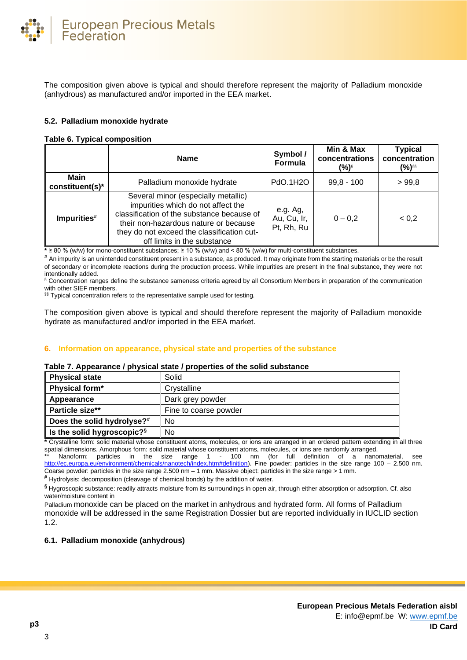The composition given above is typical and should therefore represent the majority of Palladium monoxide (anhydrous) as manufactured and/or imported in the EEA market.

# **5.2. Palladium monoxide hydrate**

# **Table 6. Typical composition**

|                                | <b>Name</b>                                                                                                                                                                                                                                   | Symbol /<br>Formula                   | Min & Max<br>concentrations<br>(%)§ | <b>Typical</b><br>concentration<br>(%)§§ |
|--------------------------------|-----------------------------------------------------------------------------------------------------------------------------------------------------------------------------------------------------------------------------------------------|---------------------------------------|-------------------------------------|------------------------------------------|
| <b>Main</b><br>constituent(s)* | Palladium monoxide hydrate                                                                                                                                                                                                                    | PdO.1H2O                              | $99,8 - 100$                        | > 99.8                                   |
| Impurities#                    | Several minor (especially metallic)<br>impurities which do not affect the<br>classification of the substance because of<br>their non-hazardous nature or because<br>they do not exceed the classification cut-<br>off limits in the substance | e.g. Ag,<br>Au, Cu, Ir,<br>Pt, Rh, Ru | $0 - 0.2$                           | < 0.2                                    |

**\*** ≥ 80 % (w/w) for mono-constituent substances; ≥ 10 % (w/w) and < 80 % (w/w) for multi-constituent substances.

**#** An impurity is an unintended constituent present in a substance, as produced. It may originate from the starting materials or be the result of secondary or incomplete reactions during the production process. While impurities are present in the final substance, they were not intentionally added.

§ Concentration ranges define the substance sameness criteria agreed by all Consortium Members in preparation of the communication with other SIEF members.

§§ Typical concentration refers to the representative sample used for testing.

The composition given above is typical and should therefore represent the majority of Palladium monoxide hydrate as manufactured and/or imported in the EEA market.

# **6. Information on appearance, physical state and properties of the substance**

# **Table 7. Appearance / physical state / properties of the solid substance**

| <b>Physical state</b>         | Solid                 |
|-------------------------------|-----------------------|
| Physical form*                | Crystalline           |
| Appearance                    | Dark grey powder      |
| Particle size**               | Fine to coarse powder |
| Does the solid hydrolyse?#    | No                    |
| Is the solid hygroscopic? $s$ | No                    |

**\*** Crystalline form: solid material whose constituent atoms, molecules, or ions are arranged in an ordered pattern extending in all three spatial dimensions. Amorphous form: solid material whose constituent atoms, molecules, or ions are randomly arranged.

Nanoform: particles in the size range 1 - 100 nm (for full definition of a nanomaterial, see [http://ec.europa.eu/environment/chemicals/nanotech/index.htm#definition\)](http://ec.europa.eu/environment/chemicals/nanotech/index.htm#definition). Fine powder: particles in the size range 100 – 2.500 nm. Coarse powder: particles in the size range 2.500 nm – 1 mm. Massive object: particles in the size range > 1 mm.

**#** Hydrolysis: decomposition (cleavage of chemical bonds) by the addition of water.

**§** Hygroscopic substance: readily attracts moisture from its surroundings in open air, through either absorption or adsorption. Cf. also water/moisture content i[n](#page-1-0) 

Palladium monoxide [can be placed on the market in anhydrous and hydrated form. All forms of Palladium](#page-1-0)  monoxide [will be addressed in the same Registration Dossier but are reported individually in IUCLID section](#page-1-0)  [1.2.](#page-1-0)

# **6.1. [Palladium monoxide \(anhydrous\)](#page-1-0)**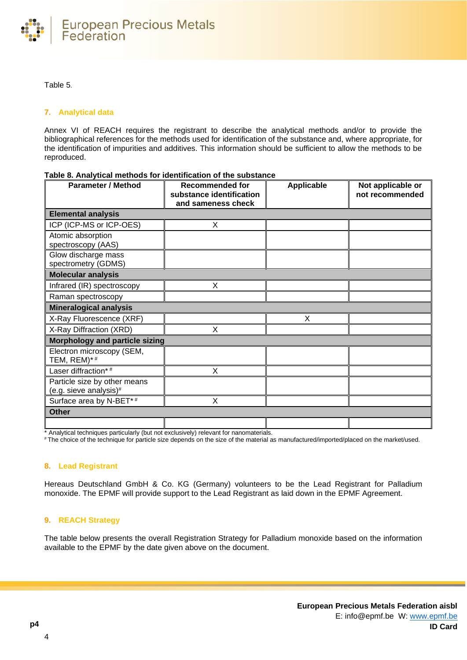

# [Table 5](#page-1-0).

# **7. Analytical data**

Annex VI of REACH requires the registrant to describe the analytical methods and/or to provide the bibliographical references for the methods used for identification of the substance and, where appropriate, for the identification of impurities and additives. This information should be sufficient to allow the methods to be reproduced.

| <b>Parameter / Method</b>                              | <b>Recommended for</b><br>substance identification | Applicable | Not applicable or<br>not recommended |
|--------------------------------------------------------|----------------------------------------------------|------------|--------------------------------------|
|                                                        | and sameness check                                 |            |                                      |
| <b>Elemental analysis</b>                              |                                                    |            |                                      |
| ICP (ICP-MS or ICP-OES)                                | X                                                  |            |                                      |
| Atomic absorption<br>spectroscopy (AAS)                |                                                    |            |                                      |
| Glow discharge mass<br>spectrometry (GDMS)             |                                                    |            |                                      |
| <b>Molecular analysis</b>                              |                                                    |            |                                      |
| Infrared (IR) spectroscopy                             | X                                                  |            |                                      |
| Raman spectroscopy                                     |                                                    |            |                                      |
| <b>Mineralogical analysis</b>                          |                                                    |            |                                      |
| X-Ray Fluorescence (XRF)                               |                                                    | X          |                                      |
| X-Ray Diffraction (XRD)                                | X                                                  |            |                                      |
| Morphology and particle sizing                         |                                                    |            |                                      |
| Electron microscopy (SEM,<br>TEM, REM)*#               |                                                    |            |                                      |
| Laser diffraction*#                                    | X                                                  |            |                                      |
| Particle size by other means<br>(e.g. sieve analysis)# |                                                    |            |                                      |
| Surface area by N-BET*#                                | X                                                  |            |                                      |
| <b>Other</b>                                           |                                                    |            |                                      |
|                                                        |                                                    |            |                                      |

#### **Table 8. Analytical methods for identification of the substance**

\* Analytical techniques particularly (but not exclusively) relevant for nanomaterials.

# The choice of the technique for particle size depends on the size of the material as manufactured/imported/placed on the market/used.

# **8. Lead Registrant**

Hereaus Deutschland GmbH & Co. KG (Germany) volunteers to be the Lead Registrant for Palladium monoxide. The EPMF will provide support to the Lead Registrant as laid down in the EPMF Agreement.

# **9. REACH Strategy**

The table below presents the overall Registration Strategy for Palladium monoxide based on the information available to the EPMF by the date given above on the document.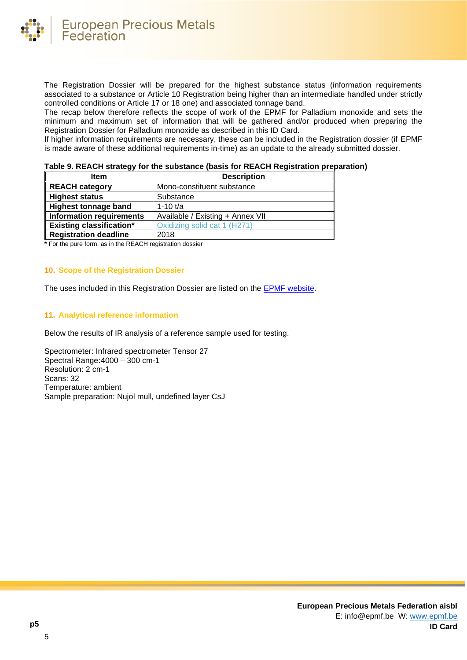

The Registration Dossier will be prepared for the highest substance status (information requirements associated to a substance or Article 10 Registration being higher than an intermediate handled under strictly controlled conditions or Article 17 or 18 one) and associated tonnage band.

The recap below therefore reflects the scope of work of the EPMF for Palladium monoxide and sets the minimum and maximum set of information that will be gathered and/or produced when preparing the Registration Dossier for Palladium monoxide as described in this ID Card.

If higher information requirements are necessary, these can be included in the Registration dossier (if EPMF is made aware of these additional requirements in-time) as an update to the already submitted dossier.

|  | Table 9. REACH strategy for the substance (basis for REACH Registration preparation) |
|--|--------------------------------------------------------------------------------------|
|--|--------------------------------------------------------------------------------------|

| <b>Item</b>                     | <b>Description</b>               |
|---------------------------------|----------------------------------|
| <b>REACH category</b>           | Mono-constituent substance       |
| <b>Highest status</b>           | Substance                        |
| <b>Highest tonnage band</b>     | 1-10 $t/a$                       |
| <b>Information requirements</b> | Available / Existing + Annex VII |
| <b>Existing classification*</b> | Oxidizing solid cat 1 (H271)     |
| <b>Registration deadline</b>    | 2018                             |

**\*** For the pure form, as in the REACH registration dossier

# **10. Scope of the Registration Dossier**

The uses included in this Registration Dossier are listed on the [EPMF website.](https://www.epmf.be/)

# **11. Analytical reference information**

Below the results of IR analysis of a reference sample used for testing.

Spectrometer: Infrared spectrometer Tensor 27 Spectral Range:4000 – 300 cm-1 Resolution: 2 cm-1 Scans: 32 Temperature: ambient Sample preparation: Nujol mull, undefined layer CsJ